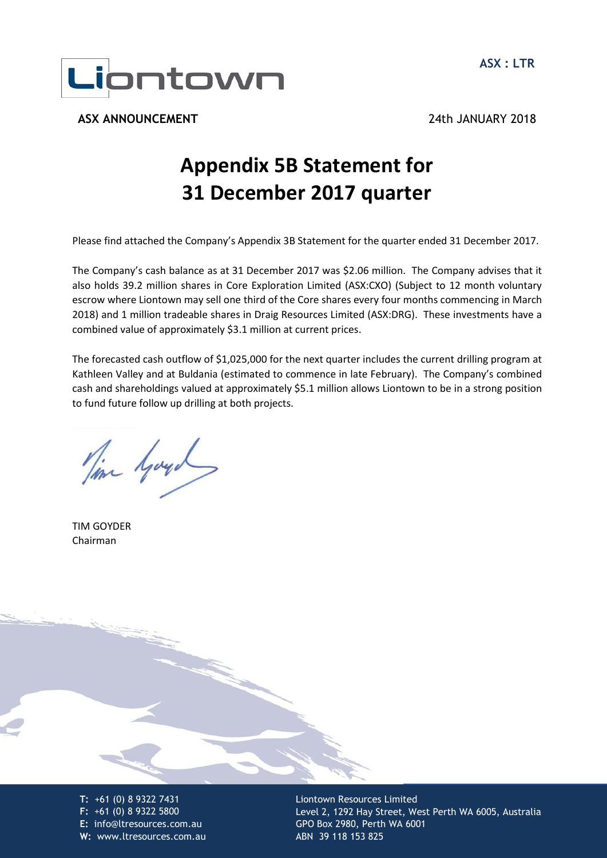

**ASX ANNOUNCEMENT** 24th JANUARY 2018

# **Appendix 5B Statement for 31 December 2017 quarter**

Please find attached the Company's Appendix 3B Statement for the quarter ended 31 December 2017.

The Company's cash balance as at 31 December 2017 was \$2.06 million. The Company advises that it also holds 39.2 million shares in Core Exploration Limited (ASX:CXO) (Subject to 12 month voluntary escrow where Liontown may sell one third of the Core shares every four months commencing in March 2018) and 1 million tradeable shares in Draig Resources Limited (ASX:DRG). These investments have a combined value of approximately \$3.1 million at current prices.

The forecasted cash outflow of \$1,025,000 for the next quarter includes the current drilling program at Kathleen Valley and at Buldania (estimated to commence in late February). The Company's combined cash and shareholdings valued at approximately \$5.1 million allows Liontown to be in a strong position to fund future follow up drilling at both projects.

Time your

TIM GOYDER Chairman

**T:** +61 (0) 8 9322 7431 **E:** info@ltresources.com.au **F:**  $\frac{1}{2}$   $\frac{1}{2}$   $\frac{1}{2}$   $\frac{1}{2}$   $\frac{1}{2}$   $\frac{1}{2}$   $\frac{1}{2}$   $\frac{1}{2}$   $\frac{1}{2}$   $\frac{1}{2}$   $\frac{1}{2}$   $\frac{1}{2}$   $\frac{1}{2}$   $\frac{1}{2}$   $\frac{1}{2}$   $\frac{1}{2}$   $\frac{1}{2}$   $\frac{1}{2}$   $\frac{1}{2}$   $\frac{1}{2}$   $\frac{1}{2}$   $\frac{1}{2$ **W:** www.ltresources.com.au **T:** +61 (0) 8 9322 7431 **F:** +61 (0) 8 9322 5800

Liontown Resources Limited Level 2, 1292 Hay Street, West Perth WA 6005, Australia GPO Box 2980, Perth WA 6001 ABN 39 118 153 825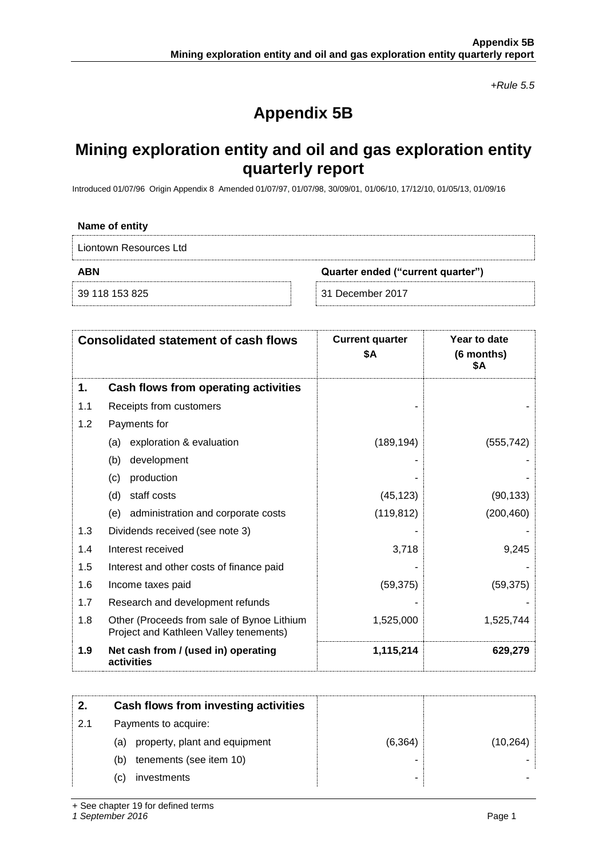*+Rule 5.5*

## **Appendix 5B**

### **Mining exploration entity and oil and gas exploration entity quarterly report**

Introduced 01/07/96 Origin Appendix 8 Amended 01/07/97, 01/07/98, 30/09/01, 01/06/10, 17/12/10, 01/05/13, 01/09/16

| Name of entity         |                                   |  |
|------------------------|-----------------------------------|--|
| Liontown Resources Ltd |                                   |  |
| <b>ABN</b>             | Quarter ended ("current quarter") |  |
| 39 118 153 825         | 31 December 2017                  |  |

| <b>Consolidated statement of cash flows</b> |                                                                                      | <b>Current quarter</b><br>\$Α | Year to date<br>(6 months)<br>\$Α |
|---------------------------------------------|--------------------------------------------------------------------------------------|-------------------------------|-----------------------------------|
| 1.                                          | Cash flows from operating activities                                                 |                               |                                   |
| 1.1                                         | Receipts from customers                                                              |                               |                                   |
| 1.2                                         | Payments for                                                                         |                               |                                   |
|                                             | exploration & evaluation<br>(a)                                                      | (189, 194)                    | (555, 742)                        |
|                                             | development<br>(b)                                                                   |                               |                                   |
|                                             | production<br>(c)                                                                    |                               |                                   |
|                                             | staff costs<br>(d)                                                                   | (45, 123)                     | (90, 133)                         |
|                                             | administration and corporate costs<br>(e)                                            | (119, 812)                    | (200, 460)                        |
| 1.3                                         | Dividends received (see note 3)                                                      |                               |                                   |
| 1.4                                         | Interest received                                                                    | 3,718                         | 9,245                             |
| 1.5                                         | Interest and other costs of finance paid                                             |                               |                                   |
| 1.6                                         | Income taxes paid                                                                    | (59, 375)                     | (59, 375)                         |
| 1.7                                         | Research and development refunds                                                     |                               |                                   |
| 1.8                                         | Other (Proceeds from sale of Bynoe Lithium<br>Project and Kathleen Valley tenements) | 1,525,000                     | 1,525,744                         |
| 1.9                                         | Net cash from / (used in) operating<br>activities                                    | 1,115,214                     | 629,279                           |

|     |     | Cash flows from investing activities |          |           |
|-----|-----|--------------------------------------|----------|-----------|
| 2.1 |     | Payments to acquire:                 |          |           |
|     | (a) | property, plant and equipment        | (6, 364) | (10, 264) |
|     | (b) | tenements (see item 10)              |          |           |
|     | (C) | investments                          |          |           |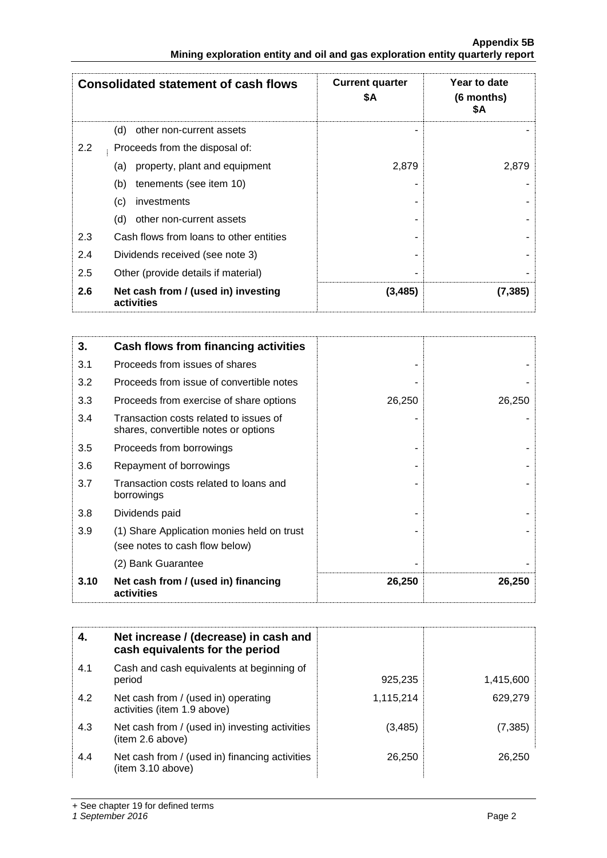|     | <u>Milling exploration entity and on and yas exploration entity quarterly report</u> |                               |                                   |
|-----|--------------------------------------------------------------------------------------|-------------------------------|-----------------------------------|
|     | <b>Consolidated statement of cash flows</b>                                          | <b>Current quarter</b><br>\$Α | Year to date<br>(6 months)<br>\$Α |
|     | (d)<br>other non-current assets                                                      |                               |                                   |
| 2.2 | Proceeds from the disposal of:                                                       |                               |                                   |
|     | property, plant and equipment<br>(a)                                                 | 2,879                         | 2,879                             |
|     | tenements (see item 10)<br>(b)                                                       |                               |                                   |
|     | (c)<br>investments                                                                   |                               |                                   |
|     | (d)<br>other non-current assets                                                      |                               |                                   |
| 2.3 | Cash flows from loans to other entities                                              |                               |                                   |
| 2.4 | Dividends received (see note 3)                                                      |                               |                                   |
| 2.5 | Other (provide details if material)                                                  |                               |                                   |
| 2.6 | Net cash from / (used in) investing<br>activities                                    | (3, 485)                      | (7, 385)                          |

| 3.   | Cash flows from financing activities                                           |        |        |
|------|--------------------------------------------------------------------------------|--------|--------|
| 3.1  | Proceeds from issues of shares                                                 |        |        |
| 3.2  | Proceeds from issue of convertible notes                                       |        |        |
| 3.3  | Proceeds from exercise of share options                                        | 26,250 | 26,250 |
| 3.4  | Transaction costs related to issues of<br>shares, convertible notes or options |        |        |
| 3.5  | Proceeds from borrowings                                                       |        |        |
| 3.6  | Repayment of borrowings                                                        |        |        |
| 3.7  | Transaction costs related to loans and<br>borrowings                           |        |        |
| 3.8  | Dividends paid                                                                 |        |        |
| 3.9  | (1) Share Application monies held on trust<br>(see notes to cash flow below)   |        |        |
|      | (2) Bank Guarantee                                                             |        |        |
| 3.10 | Net cash from / (used in) financing<br>activities                              | 26,250 | 26,250 |

|     | Net increase / (decrease) in cash and<br>cash equivalents for the period |           |           |
|-----|--------------------------------------------------------------------------|-----------|-----------|
| 4.1 | Cash and cash equivalents at beginning of<br>period                      | 925,235   | 1,415,600 |
| 4.2 | Net cash from / (used in) operating<br>activities (item 1.9 above)       | 1,115,214 | 629,279   |
| 4.3 | Net cash from / (used in) investing activities<br>(item 2.6 above)       | (3, 485)  | (7, 385)  |
| 4.4 | Net cash from / (used in) financing activities<br>(item 3.10 above)      | 26,250    | 26,250    |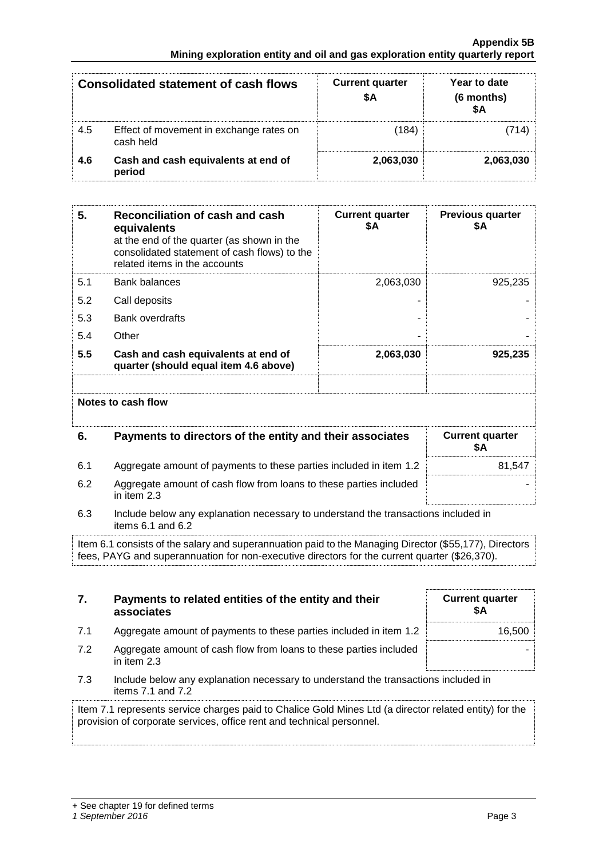#### **Appendix 5B Mining exploration entity and oil and gas exploration entity quarterly report**

|     | <b>Consolidated statement of cash flows</b>          | <b>Current quarter</b><br>SΑ | Year to date<br>(6 months)<br>\$Δ |
|-----|------------------------------------------------------|------------------------------|-----------------------------------|
| 4.5 | Effect of movement in exchange rates on<br>cash held | (184)                        |                                   |
| 4.6 | Cash and cash equivalents at end of<br>period        | 2,063,030                    | 2,063,030                         |

| 5.  | <b>Reconciliation of cash and cash</b><br>equivalents<br>at the end of the quarter (as shown in the<br>consolidated statement of cash flows) to the<br>related items in the accounts | <b>Current quarter</b><br>\$Α | <b>Previous quarter</b><br>\$Α |
|-----|--------------------------------------------------------------------------------------------------------------------------------------------------------------------------------------|-------------------------------|--------------------------------|
| 5.1 | <b>Bank balances</b>                                                                                                                                                                 | 2,063,030                     | 925,235                        |
| 5.2 | Call deposits                                                                                                                                                                        |                               |                                |
| 5.3 | <b>Bank overdrafts</b>                                                                                                                                                               |                               |                                |
| 5.4 | Other                                                                                                                                                                                |                               |                                |
| 5.5 | Cash and cash equivalents at end of<br>quarter (should equal item 4.6 above)                                                                                                         | 2,063,030                     | 925,235                        |
|     | Notes to cash flow                                                                                                                                                                   |                               |                                |
| 6.  | Payments to directors of the entity and their associates                                                                                                                             |                               | <b>Current quarter</b><br>\$Α  |
| 6.1 | Aggregate amount of payments to these parties included in item 1.2                                                                                                                   |                               | 81,547                         |
| 6.2 | Aggregate amount of cash flow from loans to these parties included<br>in item 2.3                                                                                                    |                               |                                |

6.3 Include below any explanation necessary to understand the transactions included in items 6.1 and 6.2

Item 6.1 consists of the salary and superannuation paid to the Managing Director (\$55,177), Directors fees, PAYG and superannuation for non-executive directors for the current quarter (\$26,370).

| 7.  | Payments to related entities of the entity and their<br>associates                                      | <b>Current quarter</b><br>SΑ |
|-----|---------------------------------------------------------------------------------------------------------|------------------------------|
| 7.1 | Aggregate amount of payments to these parties included in item 1.2                                      | 16.500                       |
| 7.2 | Aggregate amount of cash flow from loans to these parties included<br>in item $2.3$                     |                              |
| 7.3 | Include below any explanation necessary to understand the transactions included in<br>items 7.1 and 7.2 |                              |
|     |                                                                                                         |                              |

Item 7.1 represents service charges paid to Chalice Gold Mines Ltd (a director related entity) for the provision of corporate services, office rent and technical personnel.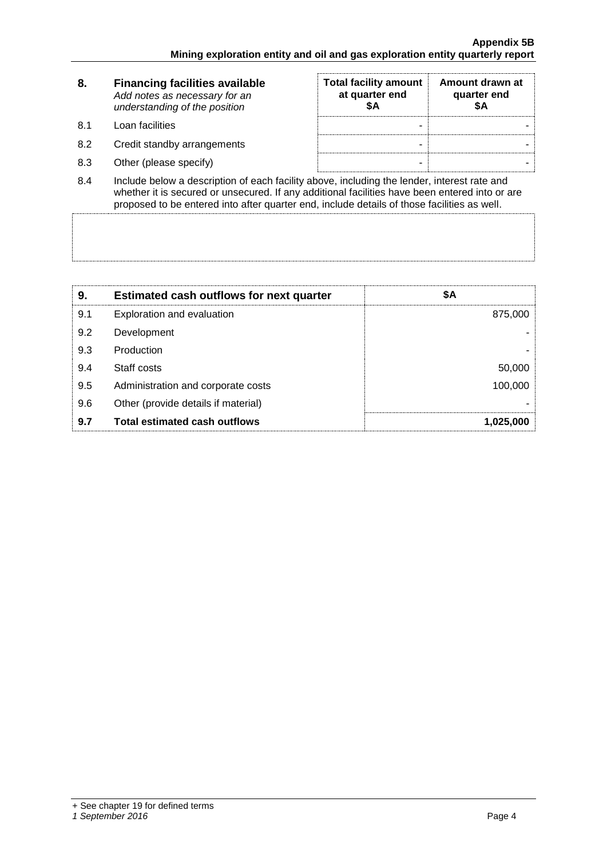| 8.                     | <b>Financing facilities available</b><br>Add notes as necessary for an<br>understanding of the position | <b>Total facility amount</b><br>at quarter end<br>\$Α | Amount drawn at<br>quarter end<br>SΑ |
|------------------------|---------------------------------------------------------------------------------------------------------|-------------------------------------------------------|--------------------------------------|
| 8.1                    | Loan facilities                                                                                         |                                                       |                                      |
| 8.2                    | Credit standby arrangements                                                                             |                                                       |                                      |
| 8.3                    | Other (please specify)                                                                                  |                                                       |                                      |
| $\mathsf{R}$ $\Lambda$ | loclude helow a description of each facility above including the lender interest rate and               |                                                       |                                      |

8.4 Include below a description of each facility above, including the lender, interest rate and whether it is secured or unsecured. If any additional facilities have been entered into or are proposed to be entered into after quarter end, include details of those facilities as well.

| 9.  | <b>Estimated cash outflows for next quarter</b> | \$Α       |
|-----|-------------------------------------------------|-----------|
| 9.1 | Exploration and evaluation                      | 875,000   |
| 9.2 | Development                                     |           |
| 9.3 | Production                                      |           |
| 9.4 | Staff costs                                     | 50,000    |
| 9.5 | Administration and corporate costs              | 100,000   |
| 9.6 | Other (provide details if material)             |           |
| 9.7 | <b>Total estimated cash outflows</b>            | 1,025,000 |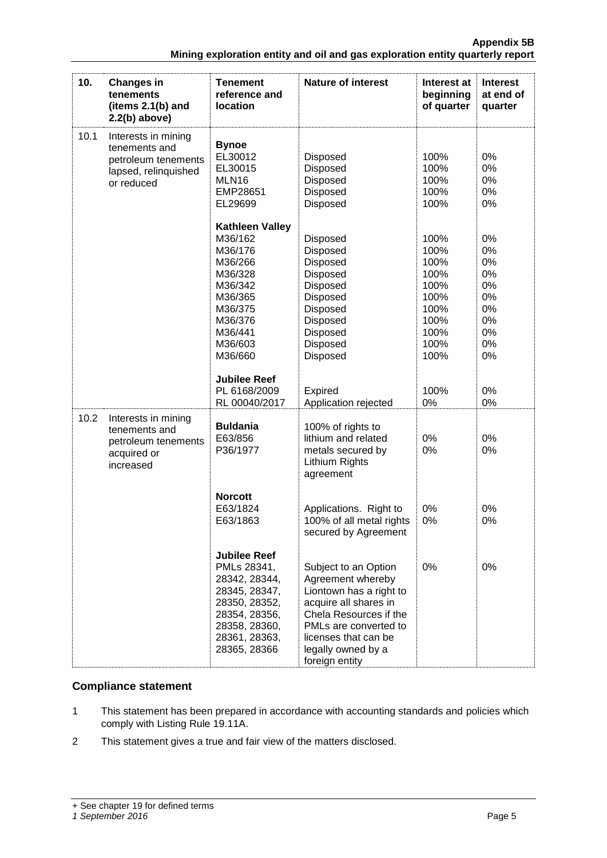**Appendix 5B**

|                                                                               | <b>Appendix 5B</b> |
|-------------------------------------------------------------------------------|--------------------|
| Mining exploration entity and oil and gas exploration entity quarterly report |                    |

| 10.  | <b>Changes in</b><br>tenements<br>(items 2.1(b) and<br>$2.2(b)$ above)                            | <b>Tenement</b><br>reference and<br>location                                                                                                             | <b>Nature of interest</b>                                                                                                                                                                                        | Interest at<br>beginning<br>of quarter                                               | <b>Interest</b><br>at end of<br>quarter                        |
|------|---------------------------------------------------------------------------------------------------|----------------------------------------------------------------------------------------------------------------------------------------------------------|------------------------------------------------------------------------------------------------------------------------------------------------------------------------------------------------------------------|--------------------------------------------------------------------------------------|----------------------------------------------------------------|
| 10.1 | Interests in mining<br>tenements and<br>petroleum tenements<br>lapsed, relinquished<br>or reduced | <b>Bynoe</b><br>EL30012<br>EL30015<br>MLN16<br>EMP28651<br>EL29699                                                                                       | Disposed<br>Disposed<br>Disposed<br>Disposed<br>Disposed                                                                                                                                                         | 100%<br>100%<br>100%<br>100%<br>100%                                                 | 0%<br>0%<br>0%<br>0%<br>0%                                     |
|      |                                                                                                   | <b>Kathleen Valley</b><br>M36/162<br>M36/176<br>M36/266<br>M36/328<br>M36/342<br>M36/365<br>M36/375<br>M36/376<br>M36/441<br>M36/603<br>M36/660          | Disposed<br><b>Disposed</b><br><b>Disposed</b><br>Disposed<br><b>Disposed</b><br>Disposed<br>Disposed<br>Disposed<br>Disposed<br>Disposed<br>Disposed                                                            | 100%<br>100%<br>100%<br>100%<br>100%<br>100%<br>100%<br>100%<br>100%<br>100%<br>100% | 0%<br>0%<br>0%<br>0%<br>0%<br>0%<br>0%<br>0%<br>0%<br>0%<br>0% |
|      |                                                                                                   | <b>Jubilee Reef</b><br>PL 6168/2009<br>RL 00040/2017                                                                                                     | <b>Expired</b><br>Application rejected                                                                                                                                                                           | 100%<br>0%                                                                           | 0%<br>0%                                                       |
| 10.2 | Interests in mining<br>tenements and<br>petroleum tenements<br>acquired or<br>increased           | <b>Buldania</b><br>E63/856<br>P36/1977                                                                                                                   | 100% of rights to<br>lithium and related<br>metals secured by<br>Lithium Rights<br>agreement                                                                                                                     | 0%<br>0%                                                                             | 0%<br>0%                                                       |
|      |                                                                                                   | <b>Norcott</b><br>E63/1824<br>E63/1863                                                                                                                   | Applications. Right to<br>100% of all metal rights<br>secured by Agreement                                                                                                                                       | 0%<br>0%                                                                             | 0%<br>0%                                                       |
|      |                                                                                                   | <b>Jubilee Reef</b><br>PMLs 28341,<br>28342, 28344,<br>28345, 28347,<br>28350, 28352,<br>28354, 28356,<br>28358, 28360,<br>28361, 28363,<br>28365, 28366 | Subject to an Option<br>Agreement whereby<br>Liontown has a right to<br>acquire all shares in<br>Chela Resources if the<br>PMLs are converted to<br>licenses that can be<br>legally owned by a<br>foreign entity | 0%                                                                                   | 0%                                                             |

### **Compliance statement**

- 1 This statement has been prepared in accordance with accounting standards and policies which comply with Listing Rule 19.11A.
- 2 This statement gives a true and fair view of the matters disclosed.